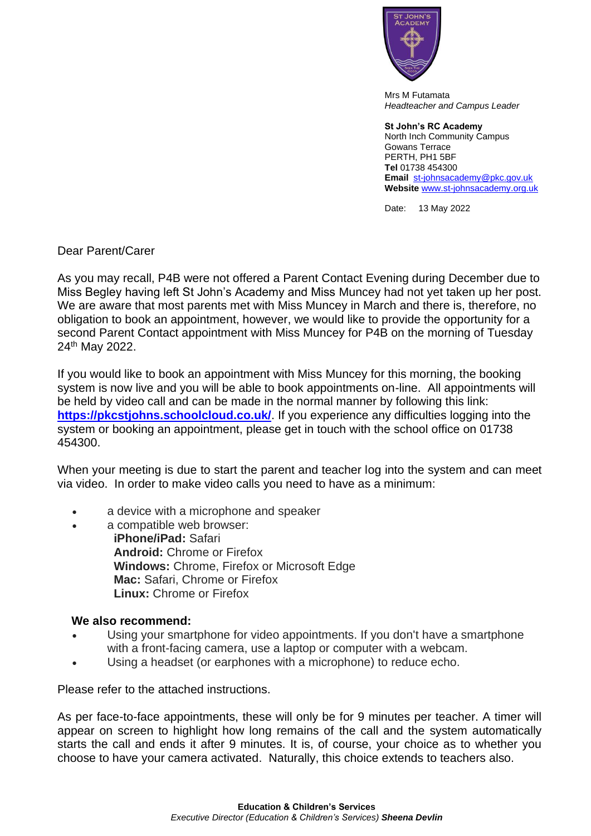

Mrs M Futamata *Headteacher and Campus Leader*

## **St John's RC Academy**

North Inch Community Campus Gowans Terrace PERTH, PH1 5BF **Tel** 01738 454300 **Email** [st-johnsacademy@pkc.gov.uk](mailto:st-johnsacademy@pkc.gov.uk) **Website** [www.st-johnsacademy.org.uk](http://www.st-johnsacademy.org.uk/)

Date: 13 May 2022

Dear Parent/Carer

As you may recall, P4B were not offered a Parent Contact Evening during December due to Miss Begley having left St John's Academy and Miss Muncey had not yet taken up her post. We are aware that most parents met with Miss Muncey in March and there is, therefore, no obligation to book an appointment, however, we would like to provide the opportunity for a second Parent Contact appointment with Miss Muncey for P4B on the morning of Tuesday 24<sup>th</sup> May 2022.

If you would like to book an appointment with Miss Muncey for this morning, the booking system is now live and you will be able to book appointments on-line. All appointments will be held by video call and can be made in the normal manner by following this link: **<https://pkcstjohns.schoolcloud.co.uk/>**. If you experience any difficulties logging into the system or booking an appointment, please get in touch with the school office on 01738 454300.

When your meeting is due to start the parent and teacher log into the system and can meet via video. In order to make video calls you need to have as a minimum:

- a device with a microphone and speaker
- a compatible web browser:

**iPhone/iPad:** Safari **Android:** Chrome or Firefox **Windows:** Chrome, Firefox or Microsoft Edge **Mac:** Safari, Chrome or Firefox **Linux:** Chrome or Firefox

## **We also recommend:**

- Using your smartphone for video appointments. If you don't have a smartphone with a front-facing camera, use a laptop or computer with a webcam.
- Using a headset (or earphones with a microphone) to reduce echo.

Please refer to the attached instructions.

As per face-to-face appointments, these will only be for 9 minutes per teacher. A timer will appear on screen to highlight how long remains of the call and the system automatically starts the call and ends it after 9 minutes. It is, of course, your choice as to whether you choose to have your camera activated. Naturally, this choice extends to teachers also.